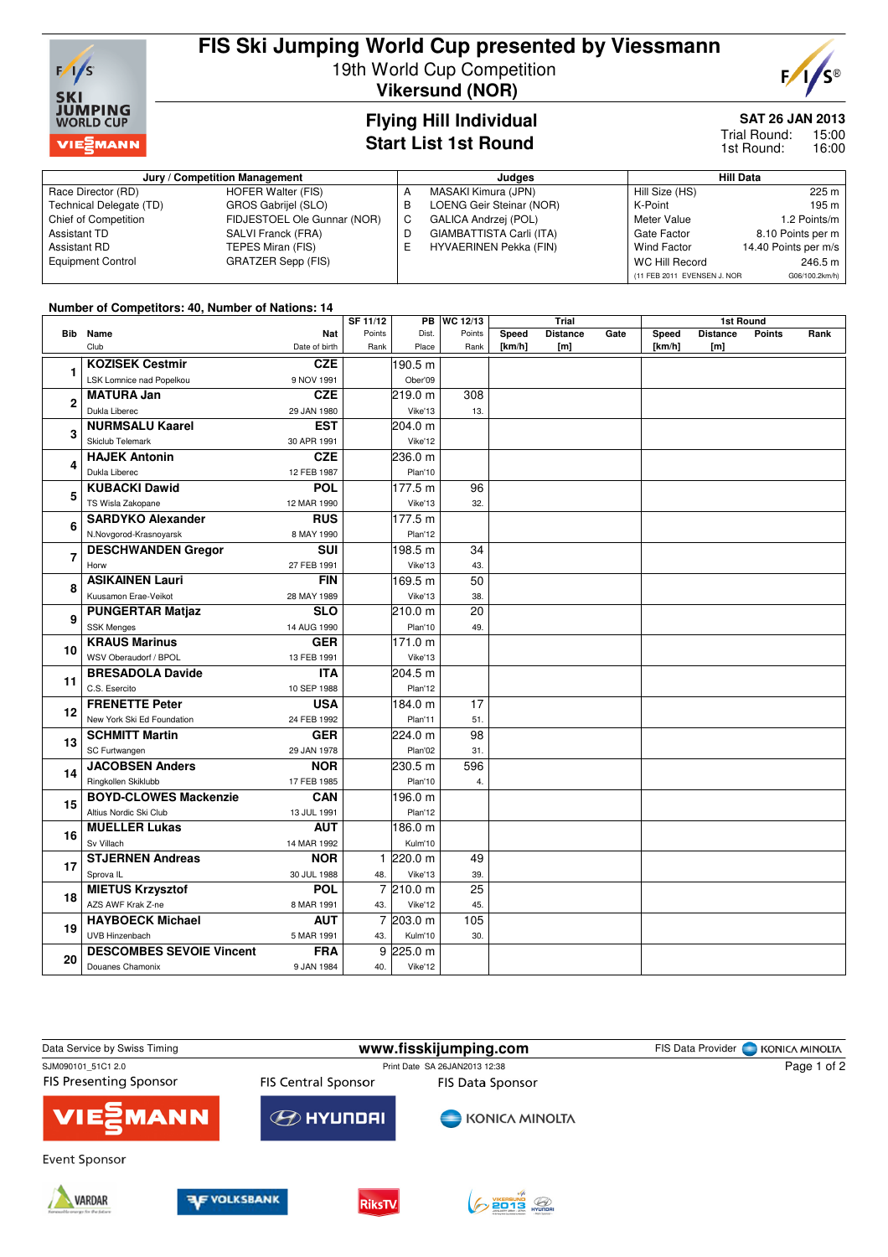

# **FIS Ski Jumping World Cup presented by Viessmann**

19th World Cup Competition **Vikersund (NOR)**



### **Flying Hill Individual Start List 1st Round**

## **SAT 26 JAN 2013**

15:00 16:00 Trial Round: 1st Round:

| Jury / Competition Management |                             |   | Judaes                        | <b>Hill Data</b>            |                      |  |
|-------------------------------|-----------------------------|---|-------------------------------|-----------------------------|----------------------|--|
| Race Director (RD)            | HOFER Walter (FIS)          | A | MASAKI Kimura (JPN)           | Hill Size (HS)              | 225 m                |  |
| Technical Delegate (TD)       | GROS Gabrijel (SLO)         | B | LOENG Geir Steinar (NOR)      | K-Point                     | 195 m                |  |
| Chief of Competition          | FIDJESTOEL Ole Gunnar (NOR) | C | <b>GALICA Andrzei (POL)</b>   | Meter Value                 | 1.2 Points/m         |  |
| Assistant TD                  | SALVI Franck (FRA)          | D | GIAMBATTISTA Carli (ITA)      | Gate Factor                 | 8.10 Points per m    |  |
| Assistant RD                  | TEPES Miran (FIS)           | Е | <b>HYVAERINEN Pekka (FIN)</b> | Wind Factor                 | 14.40 Points per m/s |  |
| <b>Equipment Control</b>      | <b>GRATZER Sepp (FIS)</b>   |   |                               | WC Hill Record              | 246.5 m              |  |
|                               |                             |   |                               | (11 FEB 2011 EVENSEN J. NOR | G06/100.2km/h)       |  |

#### **Number of Competitors: 40, Number of Nations: 14**

|                | 01 00111 pctitol 0. To, Hamber 01 Hationo. 15 |                           | SF 11/12<br>WC 12/13<br><b>PB</b> |                     | Trial           |            |                 | 1st Round |        |                 |               |      |
|----------------|-----------------------------------------------|---------------------------|-----------------------------------|---------------------|-----------------|------------|-----------------|-----------|--------|-----------------|---------------|------|
|                | <b>Bib</b> Name                               | <b>Nat</b>                | Points                            | Dist.               | Points          | Speed      | <b>Distance</b> | Gate      | Speed  | <b>Distance</b> | <b>Points</b> | Rank |
|                | Club                                          | Date of birth             | Rank                              | Place               | Rank            | [ $km/h$ ] | [m]             |           | [km/h] | [m]             |               |      |
| 1              | <b>KOZISEK Cestmir</b>                        | <b>CZE</b>                |                                   | 190.5 m             |                 |            |                 |           |        |                 |               |      |
|                | LSK Lomnice nad Popelkou                      | 9 NOV 1991                |                                   | Ober'09             |                 |            |                 |           |        |                 |               |      |
| $\overline{2}$ | <b>MATURA Jan</b>                             | <b>CZE</b>                |                                   | 219.0 m             | 308             |            |                 |           |        |                 |               |      |
|                | Dukla Liberec                                 | 29 JAN 1980               |                                   | Vike'13             | 13.             |            |                 |           |        |                 |               |      |
| 3              | <b>NURMSALU Kaarel</b>                        | <b>EST</b>                |                                   | 204.0 m             |                 |            |                 |           |        |                 |               |      |
|                | <b>Skiclub Telemark</b>                       | 30 APR 1991               |                                   | Vike'12             |                 |            |                 |           |        |                 |               |      |
| 4              | <b>HAJEK Antonin</b>                          | <b>CZE</b>                |                                   | 236.0 m             |                 |            |                 |           |        |                 |               |      |
|                | Dukla Liberec                                 | 12 FEB 1987               |                                   | Plan'10             |                 |            |                 |           |        |                 |               |      |
| 5              | <b>KUBACKI Dawid</b>                          | POL                       |                                   | 177.5 m             | 96              |            |                 |           |        |                 |               |      |
|                | TS Wisla Zakopane                             | 12 MAR 1990               |                                   | Vike'13             | 32.             |            |                 |           |        |                 |               |      |
| 6              | <b>SARDYKO Alexander</b>                      | <b>RUS</b>                |                                   | 177.5 m             |                 |            |                 |           |        |                 |               |      |
|                | N.Novgorod-Krasnoyarsk                        | 8 MAY 1990                |                                   | Plan'12             |                 |            |                 |           |        |                 |               |      |
| 7              | <b>DESCHWANDEN Gregor</b>                     | <b>SUI</b>                |                                   | 198.5 m             | 34              |            |                 |           |        |                 |               |      |
|                | Horw                                          | 27 FEB 1991               |                                   | Vike'13             | 43.             |            |                 |           |        |                 |               |      |
| 8              | <b>ASIKAINEN Lauri</b>                        | <b>FIN</b>                |                                   | 169.5 m             | 50              |            |                 |           |        |                 |               |      |
|                | Kuusamon Erae-Veikot                          | 28 MAY 1989               |                                   | Vike'13             | 38.             |            |                 |           |        |                 |               |      |
| 9              | <b>PUNGERTAR Matjaz</b>                       | <b>SLO</b>                |                                   | 210.0 m             | $\overline{20}$ |            |                 |           |        |                 |               |      |
|                | <b>SSK Menges</b>                             | 14 AUG 1990               |                                   | Plan'10             | 49.             |            |                 |           |        |                 |               |      |
| 10<br>11       | <b>KRAUS Marinus</b>                          | <b>GER</b>                |                                   | 171.0 m             |                 |            |                 |           |        |                 |               |      |
|                | WSV Oberaudorf / BPOL                         | 13 FEB 1991               |                                   | Vike'13             |                 |            |                 |           |        |                 |               |      |
|                | <b>BRESADOLA Davide</b>                       | <b>ITA</b>                |                                   | 204.5 m             |                 |            |                 |           |        |                 |               |      |
|                | C.S. Esercito                                 | 10 SEP 1988               |                                   | Plan'12             |                 |            |                 |           |        |                 |               |      |
| 12             | <b>FRENETTE Peter</b>                         | <b>USA</b>                |                                   | 184.0 m             | 17              |            |                 |           |        |                 |               |      |
|                | New York Ski Ed Foundation                    | 24 FEB 1992               |                                   | Plan'11             | 51.             |            |                 |           |        |                 |               |      |
| 13             | <b>SCHMITT Martin</b>                         | <b>GER</b>                |                                   | 224.0 m             | 98              |            |                 |           |        |                 |               |      |
|                | SC Furtwangen                                 | 29 JAN 1978               |                                   | Plan'02             | 31.             |            |                 |           |        |                 |               |      |
| 14             | <b>JACOBSEN Anders</b>                        | <b>NOR</b>                |                                   | 230.5 m             | 596             |            |                 |           |        |                 |               |      |
|                | Ringkollen Skiklubb                           | 17 FEB 1985               |                                   | Plan'10             | 4.              |            |                 |           |        |                 |               |      |
| 15             | <b>BOYD-CLOWES Mackenzie</b>                  | <b>CAN</b>                |                                   | 196.0 m             |                 |            |                 |           |        |                 |               |      |
|                | Altius Nordic Ski Club                        | 13 JUL 1991               |                                   | Plan'12             |                 |            |                 |           |        |                 |               |      |
| 16             | <b>MUELLER Lukas</b>                          | <b>AUT</b>                |                                   | 186.0 m             |                 |            |                 |           |        |                 |               |      |
|                | Sv Villach                                    | 14 MAR 1992               |                                   | Kulm'10             |                 |            |                 |           |        |                 |               |      |
| 17             | <b>STJERNEN Andreas</b>                       | <b>NOR</b>                |                                   | 1 220.0 m           | 49              |            |                 |           |        |                 |               |      |
| 18             | Sprova IL<br><b>MIETUS Krzysztof</b>          | 30 JUL 1988<br><b>POL</b> | 48.                               | Vike'13<br>7210.0 m | 39.<br>25       |            |                 |           |        |                 |               |      |
|                | AZS AWF Krak Z-ne                             | 8 MAR 1991                | 43.                               | Vike'12             | 45.             |            |                 |           |        |                 |               |      |
|                | <b>HAYBOECK Michael</b>                       | <b>AUT</b>                |                                   | 7 203.0 m           | 105             |            |                 |           |        |                 |               |      |
| 19             | UVB Hinzenbach                                | 5 MAR 1991                | 43.                               | Kulm'10             | 30.             |            |                 |           |        |                 |               |      |
|                | <b>DESCOMBES SEVOIE Vincent</b>               | <b>FRA</b>                |                                   | 9 225.0 m           |                 |            |                 |           |        |                 |               |      |
| 20             | Douanes Chamonix                              | 9 JAN 1984                | 40.                               | Vike'12             |                 |            |                 |           |        |                 |               |      |
|                |                                               |                           |                                   |                     |                 |            |                 |           |        |                 |               |      |